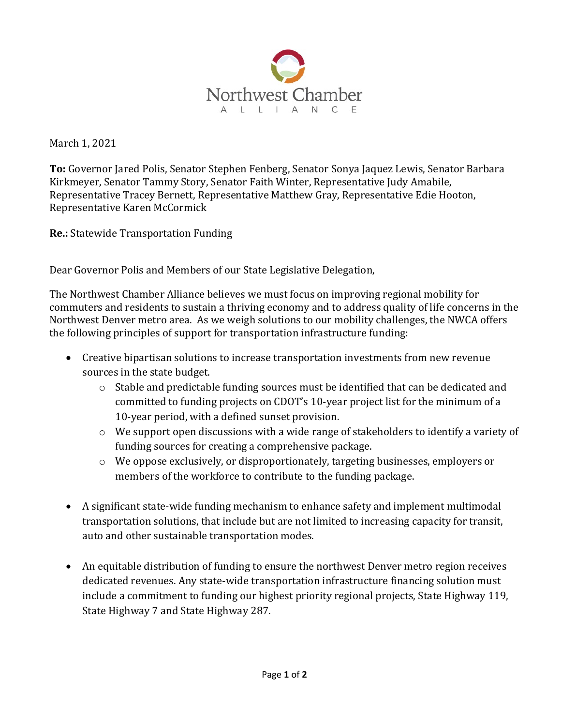

March 1, 2021

To: Governor Jared Polis, Senator Stephen Fenberg, Senator Sonya Jaquez Lewis, Senator Barbara Kirkmeyer, Senator Tammy Story, Senator Faith Winter, Representative Judy Amabile, Representative Tracey Bernett, Representative Matthew Gray, Representative Edie Hooton, Representative Karen McCormick

Re.: Statewide Transportation Funding

Dear Governor Polis and Members of our State Legislative Delegation,

The Northwest Chamber Alliance believes we must focus on improving regional mobility for commuters and residents to sustain a thriving economy and to address quality of life concerns in the Northwest Denver metro area. As we weigh solutions to our mobility challenges, the NWCA offers the following principles of support for transportation infrastructure funding:

- Creative bipartisan solutions to increase transportation investments from new revenue sources in the state budget.
	- $\circ$  Stable and predictable funding sources must be identified that can be dedicated and committed to funding projects on CDOT's 10-year project list for the minimum of a 10-year period, with a defined sunset provision.
	- o We support open discussions with a wide range of stakeholders to identify a variety of funding sources for creating a comprehensive package.
	- o We oppose exclusively, or disproportionately, targeting businesses, employers or members of the workforce to contribute to the funding package.
- A significant state-wide funding mechanism to enhance safety and implement multimodal transportation solutions, that include but are not limited to increasing capacity for transit, auto and other sustainable transportation modes.
- An equitable distribution of funding to ensure the northwest Denver metro region receives dedicated revenues. Any state-wide transportation infrastructure financing solution must include a commitment to funding our highest priority regional projects, State Highway 119, State Highway 7 and State Highway 287.